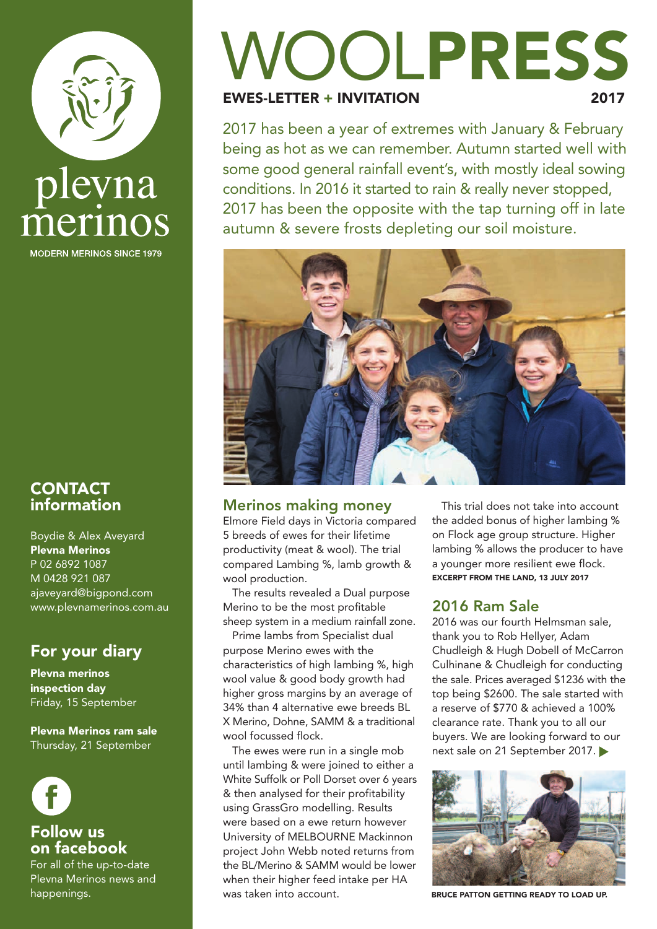

**MODERN MERINOS SINCE 1979** 

#### **CONTACT** information

Boydie & Alex Aveyard Plevna Merinos P 02 6892 1087 M 0428 921 087 ajaveyard@bigpond.com www.plevnamerinos.com.au

#### For your diary

Plevna merinos inspection day Friday, 15 September

Plevna Merinos ram sale Thursday, 21 September



#### Follow us on facebook

For all of the up-to-date Plevna Merinos news and happenings.

# VOOLPRESS

**EWES-LETTER + INVITATION** 

2017 has been a year of extremes with January & February being as hot as we can remember. Autumn started well with some good general rainfall event's, with mostly ideal sowing conditions. In 2016 it started to rain & really never stopped, 2017 has been the opposite with the tap turning off in late autumn & severe frosts depleting our soil moisture.



#### **Merinos making money**

Elmore Field days in Victoria compared 5 breeds of ewes for their lifetime productivity (meat & wool). The trial compared Lambing %, lamb growth & wool production.

The results revealed a Dual purpose Merino to be the most profitable sheep system in a medium rainfall zone.

Prime lambs from Specialist dual purpose Merino ewes with the characteristics of high lambing %, high wool value & good body growth had higher gross margins by an average of 34% than 4 alternative ewe breeds BL X Merino, Dohne, SAMM & a traditional wool focussed flock.

The ewes were run in a single mob until lambing & were joined to either a White Suffolk or Poll Dorset over 6 years & then analysed for their profitability using GrassGro modelling. Results were based on a ewe return however University of MELBOURNE Mackinnon project John Webb noted returns from the BL/Merino & SAMM would be lower when their higher feed intake per HA was taken into account.

This trial does not take into account the added bonus of higher lambing % on Flock age group structure. Higher lambing % allows the producer to have a younger more resilient ewe flock. EXCERPT FROM THE LAND, 13 JULY 2017

#### **2016 Ram Sale**

2016 was our fourth Helmsman sale, thank you to Rob Hellyer, Adam Chudleigh & Hugh Dobell of McCarron Culhinane & Chudleigh for conducting the sale. Prices averaged \$1236 with the top being \$2600. The sale started with a reserve of \$770 & achieved a 100% clearance rate. Thank you to all our buyers. We are looking forward to our next sale on 21 September 2017.



BRUCE PATTON GETTING READY TO LOAD UP.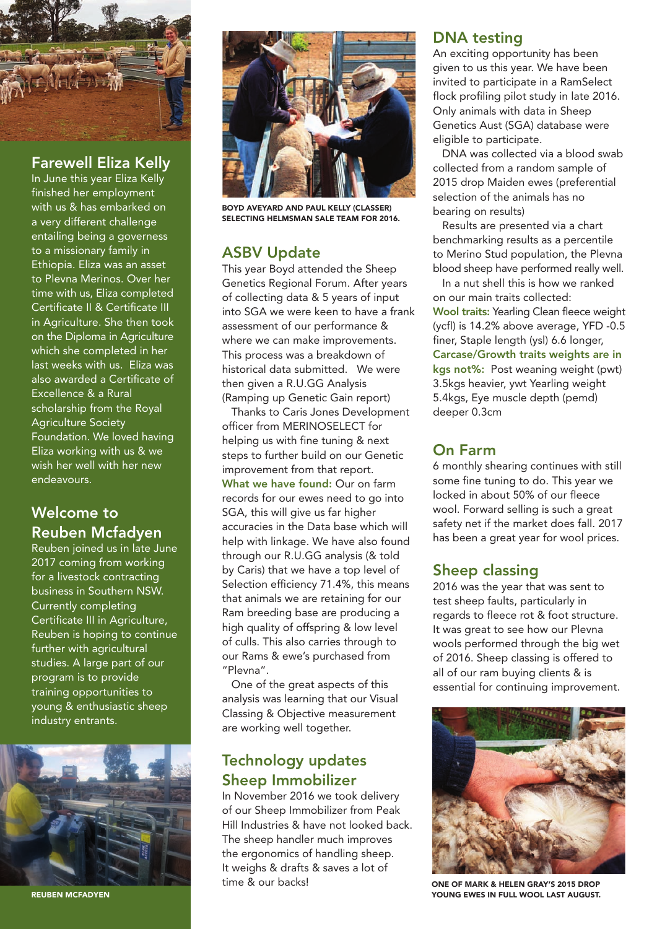

#### **Farewell Eliza Kelly**

In June this year Eliza Kelly finished her employment with us & has embarked on a very different challenge entailing being a governess to a missionary family in Ethiopia. Eliza was an asset to Plevna Merinos. Over her time with us, Eliza completed Certificate II & Certificate III in Agriculture. She then took on the Diploma in Agriculture which she completed in her last weeks with us. Eliza was also awarded a Certificate of Excellence & a Rural scholarship from the Royal Agriculture Society Foundation. We loved having Eliza working with us & we wish her well with her new endeavours.

#### **Welcome to Reuben Mcfadyen**

Reuben joined us in late June 2017 coming from working for a livestock contracting business in Southern NSW. Currently completing Certificate III in Agriculture, Reuben is hoping to continue further with agricultural studies. A large part of our program is to provide training opportunities to young & enthusiastic sheep industry entrants.



REUBEN MCFADYEN



BOYD AVEYARD AND PAUL KELLY (CLASSER) SELECTING HELMSMAN SALE TEAM FOR 2016.

#### **ASBV Update**

This year Boyd attended the Sheep Genetics Regional Forum. After years of collecting data & 5 years of input into SGA we were keen to have a frank assessment of our performance & where we can make improvements. This process was a breakdown of historical data submitted. We were then given a R.U.GG Analysis (Ramping up Genetic Gain report)

Thanks to Caris Jones Development officer from MERINOSELECT for helping us with fine tuning & next steps to further build on our Genetic improvement from that report. **What we have found:** Our on farm records for our ewes need to go into SGA, this will give us far higher accuracies in the Data base which will help with linkage. We have also found through our R.U.GG analysis (& told by Caris) that we have a top level of Selection efficiency 71.4%, this means that animals we are retaining for our Ram breeding base are producing a high quality of offspring & low level of culls. This also carries through to our Rams & ewe's purchased from "Plevna".

One of the great aspects of this analysis was learning that our Visual Classing & Objective measurement are working well together.

#### **Technology updates Sheep Immobilizer**

In November 2016 we took delivery of our Sheep Immobilizer from Peak Hill Industries & have not looked back. The sheep handler much improves the ergonomics of handling sheep. It weighs & drafts & saves a lot of time & our backs!

#### **DNA testing**

An exciting opportunity has been given to us this year. We have been invited to participate in a RamSelect flock profiling pilot study in late 2016. Only animals with data in Sheep Genetics Aust (SGA) database were eligible to participate.

DNA was collected via a blood swab collected from a random sample of 2015 drop Maiden ewes (preferential selection of the animals has no bearing on results)

Results are presented via a chart benchmarking results as a percentile to Merino Stud population, the Plevna blood sheep have performed really well.

In a nut shell this is how we ranked on our main traits collected: **Wool traits:** Yearling Clean fleece weight (ycfl) is 14.2% above average, YFD -0.5 finer, Staple length (ysl) 6.6 longer, **Carcase/Growth traits weights are in kgs not%:** Post weaning weight (pwt) 3.5kgs heavier, ywt Yearling weight 5.4kgs, Eye muscle depth (pemd) deeper 0.3cm

#### **On Farm**

6 monthly shearing continues with still some fine tuning to do. This year we locked in about 50% of our fleece wool. Forward selling is such a great safety net if the market does fall. 2017 has been a great year for wool prices.

#### **Sheep classing**

2016 was the year that was sent to test sheep faults, particularly in regards to fleece rot & foot structure. It was great to see how our Plevna wools performed through the big wet of 2016. Sheep classing is offered to all of our ram buying clients & is essential for continuing improvement.



ONE OF MARK & HELEN GRAY'S 2015 DROP YOUNG EWES IN FULL WOOL LAST AUGUST.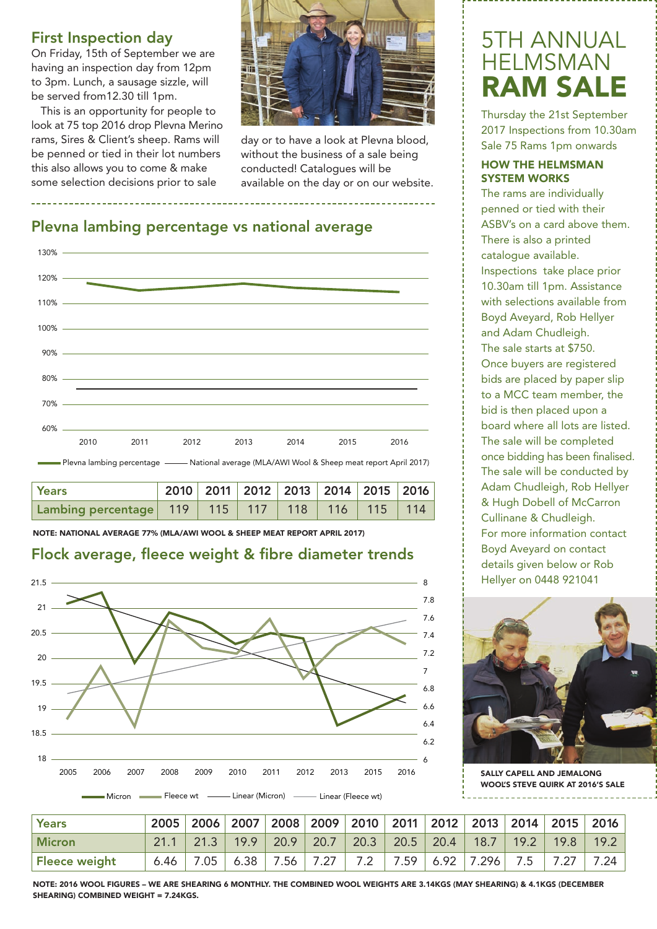#### **First Inspection day**

On Friday, 15th of September we are having an inspection day from 12pm to 3pm. Lunch, a sausage sizzle, will be served from12.30 till 1pm.

This is an opportunity for people to look at 75 top 2016 drop Plevna Merino rams, Sires & Client's sheep. Rams will be penned or tied in their lot numbers this also allows you to come & make some selection decisions prior to sale



day or to have a look at Plevna blood, without the business of a sale being conducted! Catalogues will be available on the day or on our website.

#### **Plevna lambing percentage vs national average**



| <b>Years</b>                                                 |  | 2010   2011   2012   2013   2014   2015   2016 |  |  |
|--------------------------------------------------------------|--|------------------------------------------------|--|--|
| Lambing percentage   119   115   117   118   116   115   114 |  |                                                |  |  |

NOTE: NATIONAL AVERAGE 77% (MLA/AWI WOOL & SHEEP MEAT REPORT APRIL 2017)

#### **Flock average, fleece weight & fibre diameter trends**



# 5TH ANNUAL HELMSMAN **RAM SAL**

Thursday the 21st September 2017 Inspections from 10.30am Sale 75 Rams 1pm onwards

#### HOW THE HELMSMAN SYSTEM WORKS

The rams are individually penned or tied with their ASBV's on a card above them. There is also a printed catalogue available. Inspections take place prior 10.30am till 1pm. Assistance with selections available from Boyd Aveyard, Rob Hellyer and Adam Chudleigh. The sale starts at \$750. Once buyers are registered bids are placed by paper slip to a MCC team member, the bid is then placed upon a board where all lots are listed. The sale will be completed once bidding has been finalised. The sale will be conducted by Adam Chudleigh, Rob Hellyer & Hugh Dobell of McCarron Cullinane & Chudleigh. For more information contact Boyd Aveyard on contact details given below or Rob Hellyer on 0448 921041



SALLY CAPELL AND JEMALONG WOOL'S STEVE QUIRK AT 2016'S SALE

| Years         | 2005 2006 2007 2008 2009 2010 2011 2012 2013 2014 2015 2016                         |  |  |  |  |  |
|---------------|-------------------------------------------------------------------------------------|--|--|--|--|--|
| <b>Micron</b> | $21.1$   21.3   19.9   20.9   20.7   20.3   20.5   20.4   18.7   19.2   19.8   19.2 |  |  |  |  |  |
| Fleece weight | 6.46   7.05   6.38   7.56   7.27   7.2   7.59   6.92   7.296   7.5   7.27   7.24    |  |  |  |  |  |

NOTE: 2016 WOOL FIGURES – WE ARE SHEARING 6 MONTHLY. THE COMBINED WOOL WEIGHTS ARE 3.14KGS (MAY SHEARING) & 4.1KGS (DECEMBER SHEARING) COMBINED WEIGHT = 7.24KGS.